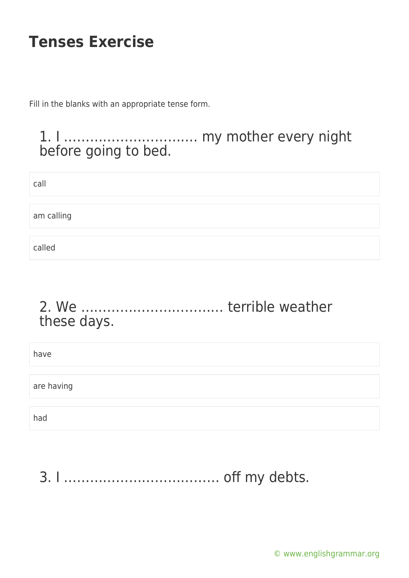Fill in the blanks with an appropriate tense form.

#### 1. I …………………………. my mother every night before going to bed.

| call       |  |  |
|------------|--|--|
| am calling |  |  |
| called     |  |  |

#### 2. We …………………………… terrible weather these days.

| have       |  |
|------------|--|
|            |  |
| are having |  |
|            |  |
| had        |  |

3. I ……………………………… off my debts.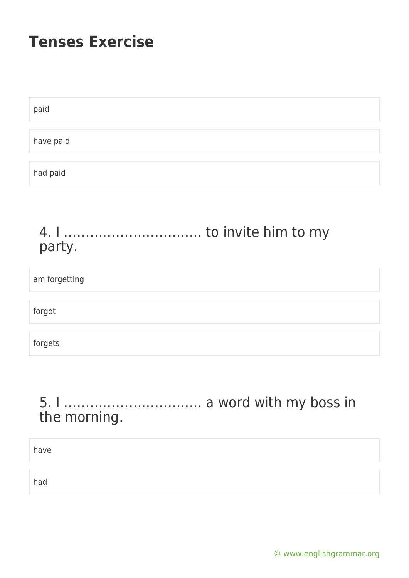| paid      |  |  |
|-----------|--|--|
|           |  |  |
| have paid |  |  |
|           |  |  |
| had paid  |  |  |

#### 4. I ………………………….. to invite him to my party.

| am forgetting |  |
|---------------|--|
|               |  |
| forgot        |  |
|               |  |
| forgets       |  |

### 5. I ………………………….. a word with my boss in the morning.

have

had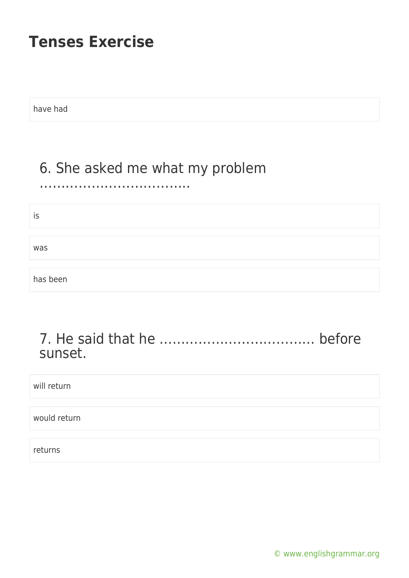have had

# 6. She asked me what my problem

#### ……………………………..

is

was

has been

#### 7. He said that he ……………………………… before sunset.

will return

would return

returns

[© www.englishgrammar.org](https://www.englishgrammar.org/)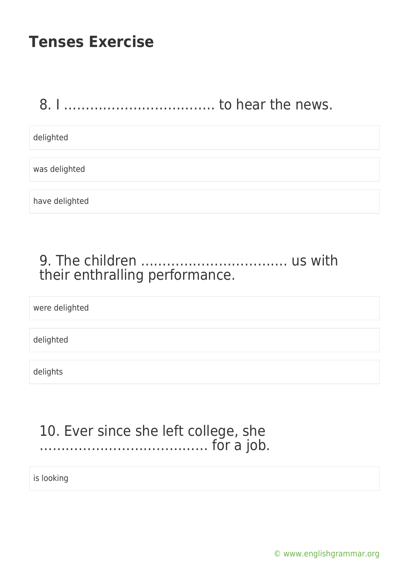### 8. I …………………………….. to hear the news.

delighted

was delighted

have delighted

### 9. The children ……………………………. us with their enthralling performance.

were delighted

delighted

delights

#### 10. Ever since she left college, she ………………………………… for a job.

is looking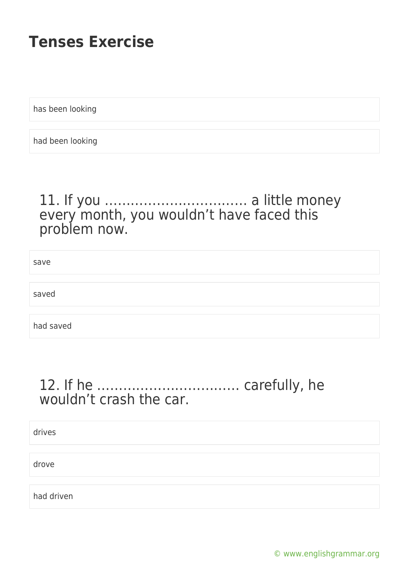has been looking

had been looking

#### 11. If you …………………………… a little money every month, you wouldn't have faced this problem now.

save saved had saved

### 12. If he …………………………… carefully, he wouldn't crash the car.

drives

drove

had driven

[© www.englishgrammar.org](https://www.englishgrammar.org/)